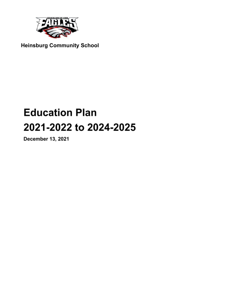

**Heinsburg Community School**

# **Education Plan** 2021-2022 to 2024-2025

December 13, 2021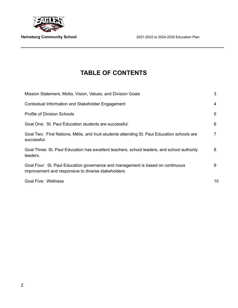

# **TABLE OF CONTENTS**

| Mission Statement, Motto, Vision, Values, and Division Goals                                                                          | 3  |
|---------------------------------------------------------------------------------------------------------------------------------------|----|
| Contextual Information and Stakeholder Engagement                                                                                     | 4  |
| <b>Profile of Division Schools</b>                                                                                                    | 5  |
| Goal One: St. Paul Education students are successful.                                                                                 | 6  |
| Goal Two: First Nations, Métis, and Inuit students attending St. Paul Education schools are<br>successful.                            |    |
| Goal Three: St. Paul Education has excellent teachers, school leaders, and school authority<br>leaders.                               | 8  |
| Goal Four: St. Paul Education governance and management is based on continuous<br>improvement and responsive to diverse stakeholders. | 9  |
| <b>Goal Five: Wellness</b>                                                                                                            | 10 |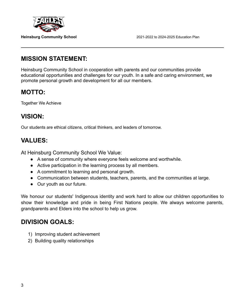

## **MISSION STATEMENT:**

Heinsburg Community School in cooperation with parents and our communities provide educational opportunities and challenges for our youth. In a safe and caring environment, we promote personal growth and development for all our members.

# **MOTTO:**

Together We Achieve

# **VISION:**

Our students are ethical citizens, critical thinkers, and leaders of tomorrow.

# **VALUES:**

At Heinsburg Community School We Value:

- A sense of community where everyone feels welcome and worthwhile.
- Active participation in the learning process by all members.
- A commitment to learning and personal growth.
- Communication between students, teachers, parents, and the communities at large.
- Our youth as our future.

We honour our students' Indigenous identity and work hard to allow our children opportunities to show their knowledge and pride in being First Nations people. We always welcome parents, grandparents and Elders into the school to help us grow.

# **DIVISION GOALS:**

- 1) Improving student achievement
- 2) Building quality relationships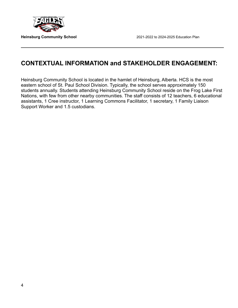

# **CONTEXTUAL INFORMATION and STAKEHOLDER ENGAGEMENT:**

Heinsburg Community School is located in the hamlet of Heinsburg, Alberta. HCS is the most eastern school of St. Paul School Division. Typically, the school serves approximately 150 students annually. Students attending Heinsburg Community School reside on the Frog Lake First Nations, with few from other nearby communities. The staff consists of 12 teachers, 6 educational assistants, 1 Cree instructor, 1 Learning Commons Facilitator, 1 secretary, 1 Family Liaison Support Worker and 1.5 custodians.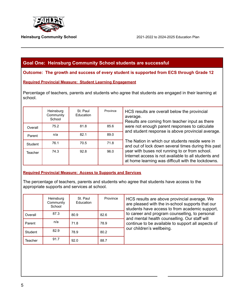

### **Goal One: Heinsburg Community School students are successful**

**Outcome: The growth and success of every student is supported from ECS through Grade 12**

### **Required Provincial Measure: Student Learning Engagement**

Percentage of teachers, parents and students who agree that students are engaged in their learning at school.

|         | Heinsburg<br>Community<br>School | St. Paul<br>Education | Province | HCS results are overall below the provincial<br>average.<br>Results are coming from teacher input as there                                                   |
|---------|----------------------------------|-----------------------|----------|--------------------------------------------------------------------------------------------------------------------------------------------------------------|
| Overall | 75.2                             | 81.8                  | 85.6     | were not enough parent responses to calculate<br>and student response is above provincial average.                                                           |
| Parent  | n/a                              | 82.1                  | 89.0     |                                                                                                                                                              |
| Student | 76.1                             | 70.5                  | 71.8     | The Nation in which our students reside were in<br>and out of lock down several times during this past                                                       |
| Teacher | 74.3                             | 92.8                  | 96.0     | year with buses not running to or from school.<br>Internet access is not available to all students and<br>at home learning was difficult with the lockdowns. |

### **Required Provincial Measure: Access to Supports and Services**

The percentage of teachers, parents and students who agree that students have access to the appropriate supports and services at school.

|         | Heinsburg<br>Community<br>School | St. Paul<br>Education | Province | HCS results are above provincial average. We<br>are pleased with the in-school supports that our<br>students have access to from academic support, |
|---------|----------------------------------|-----------------------|----------|----------------------------------------------------------------------------------------------------------------------------------------------------|
| Overall | 87.3                             | 80.9                  | 82.6     | to career and program counselling, to personal<br>and mental health counselling. Our staff will                                                    |
| Parent  | n/a                              | 71.8                  | 78.9     | continue to be available to support all aspects of                                                                                                 |
| Student | 82.9                             | 78.9                  | 80.2     | our children's wellbeing.                                                                                                                          |
| Teacher | 91.7                             | 92.0                  | 88.7     |                                                                                                                                                    |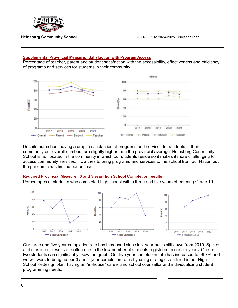

### **Supplemental Provincial Measure: Satisfaction with Program Access** Percentage of teacher, parent and student satisfaction with the accessibility, effectiveness and efficiency of programs and services for students in their community. Alberta 100 100 80 m (80) 60 contact (%) Result(%) 40 40  $20$ 20  $\alpha$  $\Omega$ 2017 2018 2019 2020 2021 2017 2018 2019 2020 2021 - Parent - Overall - Parent - Student -- Teacher - Overall + Student Teacher

Despite our school having a drop in satisfaction of programs and services for students in their community our overall numbers are slightly higher than the provincial average. Heinsburg Community School is not located in the community in which our students reside so it makes it more challenging to access community services. HCS tries to bring programs and services to the school from our Nation but the pandemic has limited our access.

### **Required Provincial Measure: 3 and 5 year High School Completion results**

Percentages of students who completed high school within three and five years of entering Grade 10.



Our three and five year completion rate has increased since last year but is still down from 2019. Spikes and dips in our results are often due to the low number of students registered in certain years. One or two students can significantly skew the graph. Our five year completion rate has increased to 99.7% and we will work to bring up our 3 and 4 year completion rates by using strategies outlined in our High School Redesign plan, having an "in-house" career and school counsellor and individualizing student programming needs.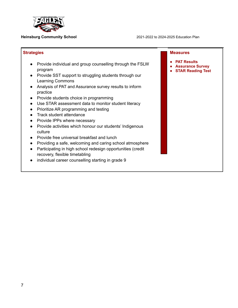

| <b>Strategies</b>                                                                                                                                                                                                                                                                                                                                                                                                                                                                                                                                                                                                                                                                                                                                                                                                    | <b>Measures</b>                                                           |
|----------------------------------------------------------------------------------------------------------------------------------------------------------------------------------------------------------------------------------------------------------------------------------------------------------------------------------------------------------------------------------------------------------------------------------------------------------------------------------------------------------------------------------------------------------------------------------------------------------------------------------------------------------------------------------------------------------------------------------------------------------------------------------------------------------------------|---------------------------------------------------------------------------|
| Provide individual and group counselling through the FSLW<br>program<br>Provide SST support to struggling students through our<br>$\bullet$<br><b>Learning Commons</b><br>Analysis of PAT and Assurance survey results to inform<br>practice<br>Provide students choice in programming<br>$\bullet$<br>Use STAR assessment data to monitor student literacy<br>Prioritize AR programming and testing<br>Track student attendance<br>Provide IPPs where necessary<br>Provide activities which honour our students' Indigenous<br>culture<br>Provide free universal breakfast and lunch<br>Providing a safe, welcoming and caring school atmosphere<br>Participating in high school redesign opportunities (credit<br>$\bullet$<br>recovery, flexible timetabling<br>individual career counselling starting in grade 9 | <b>PAT Results</b><br><b>Assurance Survey</b><br><b>STAR Reading Test</b> |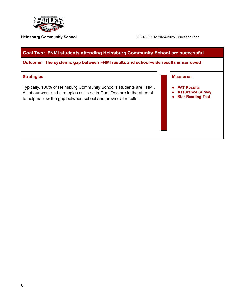

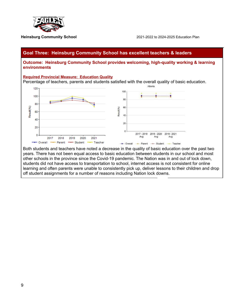



Both students and teachers have noted a decrease in the quality of basic education over the past two years. There has not been equal access to basic education between students in our school and most other schools in the province since the Covid-19 pandemic. The Nation was in and out of lock down, students did not have access to transportation to school, internet access is not consistent for online learning and often parents were unable to consistently pick up, deliver lessons to their children and drop off student assignments for a number of reasons including Nation lock downs.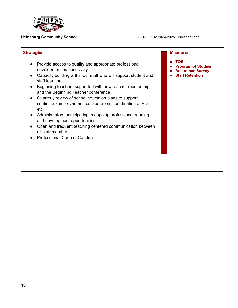

### **Strategies** ● Provide access to quality and appropriate professional development as necessary ● Capacity building within our staff who will support student and staff learning ● Beginning teachers supported with new teacher mentorship and the Beginning Teacher conference ● Quarterly review of school education plans to support continuous improvement, collaboration, coordination of PD, etc. ● Administrators participating in ongoing professional reading and development opportunities ● Open and frequent teaching centered communication between all staff members ● Professional Code of Conduct **Measures ● TQS ● Program of Studies ● Assurance Survey ● Staff Retention**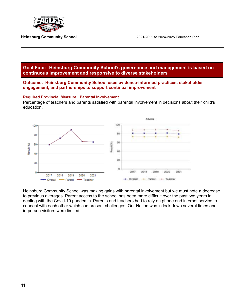





Heinsburg Community School was making gains with parental involvement but we must note a decrease to previous averages. Parent access to the school has been more difficult over the past two years in dealing with the Covid-19 pandemic. Parents and teachers had to rely on phone and internet service to connect with each other which can present challenges. Our Nation was in lock down several times and in-person visitors were limited.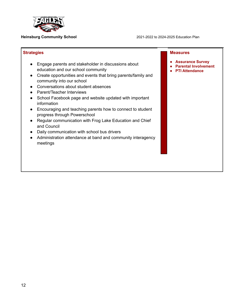

| <b>Strategies</b>                                                                                                                                                                                                                                                                                                                                                                                                                                                                                                                                                                                                                         | <b>Measures</b>                                                                 |
|-------------------------------------------------------------------------------------------------------------------------------------------------------------------------------------------------------------------------------------------------------------------------------------------------------------------------------------------------------------------------------------------------------------------------------------------------------------------------------------------------------------------------------------------------------------------------------------------------------------------------------------------|---------------------------------------------------------------------------------|
| Engage parents and stakeholder in discussions about<br>education and our school community<br>Create opportunities and events that bring parents/family and<br>community into our school<br>Conversations about student absences<br>Parent/Teacher Interviews<br>School Facebook page and website updated with important<br>information<br>Encouraging and teaching parents how to connect to student<br>progress through Powerschool<br>Regular communication with Frog Lake Education and Chief<br>and Council<br>Daily communication with school bus drivers<br>Administration attendance at band and community interagency<br>meetings | <b>Assurance Survey</b><br><b>Parental Involvement</b><br><b>PTI Attendance</b> |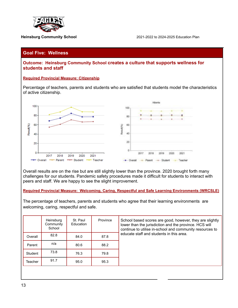

### **Goal Five: Wellness**

**Outcome: Heinsburg Community School creates a culture that supports wellness for students and staff**

### **Required Provincial Measure: Citizenship**

Percentage of teachers, parents and students who are satisfied that students model the characteristics of active citizenship.



Overall results are on the rise but are still slightly lower than the province. 2020 brought forth many challenges for our students. Pandemic safety procedures made it difficult for students to interact with peers and staff. We are happy to see the slight improvement.

### **Required Provincial Measure: Welcoming, Caring, Respectful and Safe Learning Environments (WRCSLE)**

The percentage of teachers, parents and students who agree that their learning environments are welcoming, caring, respectful and safe.

|         | Heinsburg<br>Community<br>School | St. Paul<br>Education | Province | School based scores are good, however, they are slightly<br>lower than the jurisdiction and the province. HCS will<br>continue to utilise in-school and community resources to<br>educate staff and students in this area. |
|---------|----------------------------------|-----------------------|----------|----------------------------------------------------------------------------------------------------------------------------------------------------------------------------------------------------------------------------|
| Overall | 82.8                             | 84.0                  | 87.8     |                                                                                                                                                                                                                            |
| Parent  | n/a                              | 80.6                  | 88.2     |                                                                                                                                                                                                                            |
| Student | 73.8                             | 76.3                  | 79.8     |                                                                                                                                                                                                                            |
| Teacher | 91.7                             | 95.0                  | 95.3     |                                                                                                                                                                                                                            |
|         |                                  |                       |          |                                                                                                                                                                                                                            |